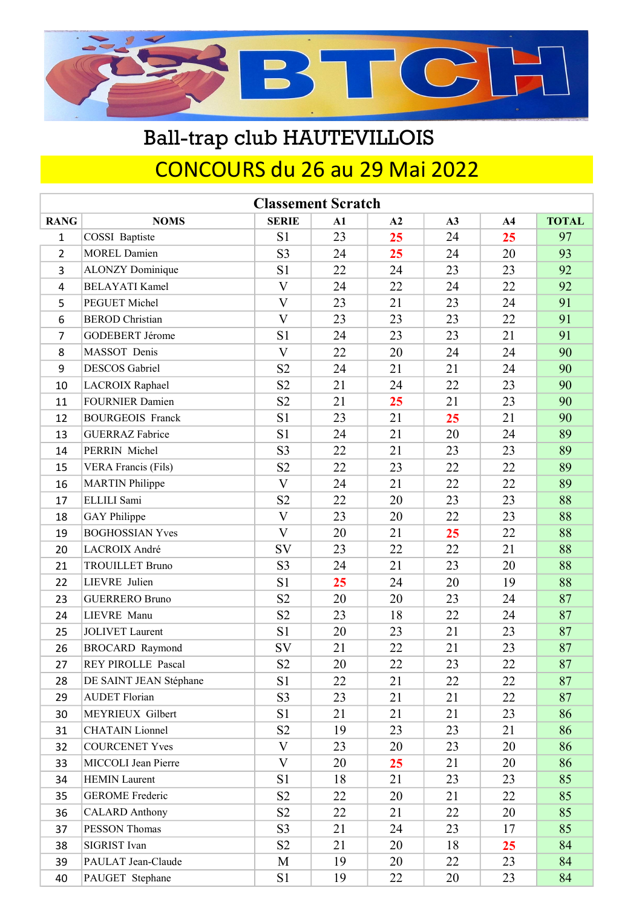

# CONCOURS du 26 au 29 Mai 2022 Ball-trap club HAUTEVILLOIS

|                | <b>Classement Scratch</b>  |                         |               |    |    |                |              |  |  |  |  |
|----------------|----------------------------|-------------------------|---------------|----|----|----------------|--------------|--|--|--|--|
| <b>RANG</b>    | <b>NOMS</b>                | <b>SERIE</b>            | $\mathbf{A1}$ | A2 | A3 | A <sub>4</sub> | <b>TOTAL</b> |  |  |  |  |
| $\mathbf{1}$   | COSSI Baptiste             | S1                      | 23            | 25 | 24 | 25             | 97           |  |  |  |  |
| $\overline{2}$ | <b>MOREL Damien</b>        | S <sub>3</sub>          | 24            | 25 | 24 | 20             | 93           |  |  |  |  |
| 3              | <b>ALONZY</b> Dominique    | S1                      | 22            | 24 | 23 | 23             | 92           |  |  |  |  |
| 4              | <b>BELAYATI Kamel</b>      | V                       | 24            | 22 | 24 | 22             | 92           |  |  |  |  |
| 5              | PEGUET Michel              | $\overline{\mathsf{V}}$ | 23            | 21 | 23 | 24             | 91           |  |  |  |  |
| 6              | <b>BEROD</b> Christian     | $\mathbf{V}$            | 23            | 23 | 23 | 22             | 91           |  |  |  |  |
| 7              | GODEBERT Jérome            | S1                      | 24            | 23 | 23 | 21             | 91           |  |  |  |  |
| 8              | MASSOT Denis               | $\overline{\mathsf{V}}$ | 22            | 20 | 24 | 24             | 90           |  |  |  |  |
| 9              | <b>DESCOS</b> Gabriel      | S <sub>2</sub>          | 24            | 21 | 21 | 24             | 90           |  |  |  |  |
| 10             | LACROIX Raphael            | S <sub>2</sub>          | 21            | 24 | 22 | 23             | 90           |  |  |  |  |
| 11             | <b>FOURNIER Damien</b>     | S <sub>2</sub>          | 21            | 25 | 21 | 23             | 90           |  |  |  |  |
| 12             | <b>BOURGEOIS Franck</b>    | S <sub>1</sub>          | 23            | 21 | 25 | 21             | 90           |  |  |  |  |
| 13             | <b>GUERRAZ Fabrice</b>     | S1                      | 24            | 21 | 20 | 24             | 89           |  |  |  |  |
| 14             | PERRIN Michel              | S <sub>3</sub>          | 22            | 21 | 23 | 23             | 89           |  |  |  |  |
| 15             | <b>VERA Francis (Fils)</b> | S <sub>2</sub>          | 22            | 23 | 22 | 22             | 89           |  |  |  |  |
| 16             | <b>MARTIN Philippe</b>     | V                       | 24            | 21 | 22 | 22             | 89           |  |  |  |  |
| 17             | ELLILI Sami                | S <sub>2</sub>          | 22            | 20 | 23 | 23             | 88           |  |  |  |  |
| 18             | <b>GAY</b> Philippe        | $\mathbf{V}$            | 23            | 20 | 22 | 23             | 88           |  |  |  |  |
| 19             | <b>BOGHOSSIAN Yves</b>     | V                       | 20            | 21 | 25 | 22             | 88           |  |  |  |  |
| 20             | LACROIX André              | SV                      | 23            | 22 | 22 | 21             | 88           |  |  |  |  |
| 21             | <b>TROUILLET Bruno</b>     | S <sub>3</sub>          | 24            | 21 | 23 | 20             | 88           |  |  |  |  |
| 22             | LIEVRE Julien              | S1                      | 25            | 24 | 20 | 19             | 88           |  |  |  |  |
| 23             | <b>GUERRERO Bruno</b>      | S <sub>2</sub>          | 20            | 20 | 23 | 24             | 87           |  |  |  |  |
| 24             | LIEVRE Manu                | S <sub>2</sub>          | 23            | 18 | 22 | 24             | 87           |  |  |  |  |
| 25             | <b>JOLIVET</b> Laurent     | S1                      | 20            | 23 | 21 | 23             | 87           |  |  |  |  |
| 26             | <b>BROCARD Raymond</b>     | SV                      | 21            | 22 | 21 | 23             | 87           |  |  |  |  |
| 27             | <b>REY PIROLLE Pascal</b>  | S <sub>2</sub>          | 20            | 22 | 23 | 22             | 87           |  |  |  |  |
| 28             | DE SAINT JEAN Stéphane     | S1                      | 22            | 21 | 22 | 22             | 87           |  |  |  |  |
| 29             | <b>AUDET Florian</b>       | S <sub>3</sub>          | 23            | 21 | 21 | 22             | 87           |  |  |  |  |
| 30             | MEYRIEUX Gilbert           | S1                      | 21            | 21 | 21 | 23             | 86           |  |  |  |  |
| 31             | <b>CHATAIN</b> Lionnel     | S <sub>2</sub>          | 19            | 23 | 23 | 21             | 86           |  |  |  |  |
| 32             | <b>COURCENET Yves</b>      | V                       | 23            | 20 | 23 | 20             | 86           |  |  |  |  |
| 33             | MICCOLI Jean Pierre        | $\mathbf{V}$            | 20            | 25 | 21 | 20             | 86           |  |  |  |  |
| 34             | <b>HEMIN Laurent</b>       | S1                      | 18            | 21 | 23 | 23             | 85           |  |  |  |  |
| 35             | <b>GEROME</b> Frederic     | S <sub>2</sub>          | 22            | 20 | 21 | 22             | 85           |  |  |  |  |
| 36             | <b>CALARD</b> Anthony      | S2                      | 22            | 21 | 22 | 20             | 85           |  |  |  |  |
| 37             | PESSON Thomas              | S <sub>3</sub>          | 21            | 24 | 23 | 17             | 85           |  |  |  |  |
| 38             | SIGRIST Ivan               | S <sub>2</sub>          | 21            | 20 | 18 | 25             | 84           |  |  |  |  |
| 39             | PAULAT Jean-Claude         | M                       | 19            | 20 | 22 | 23             | 84           |  |  |  |  |
| 40             | PAUGET Stephane            | S1                      | 19            | 22 | 20 | 23             | 84           |  |  |  |  |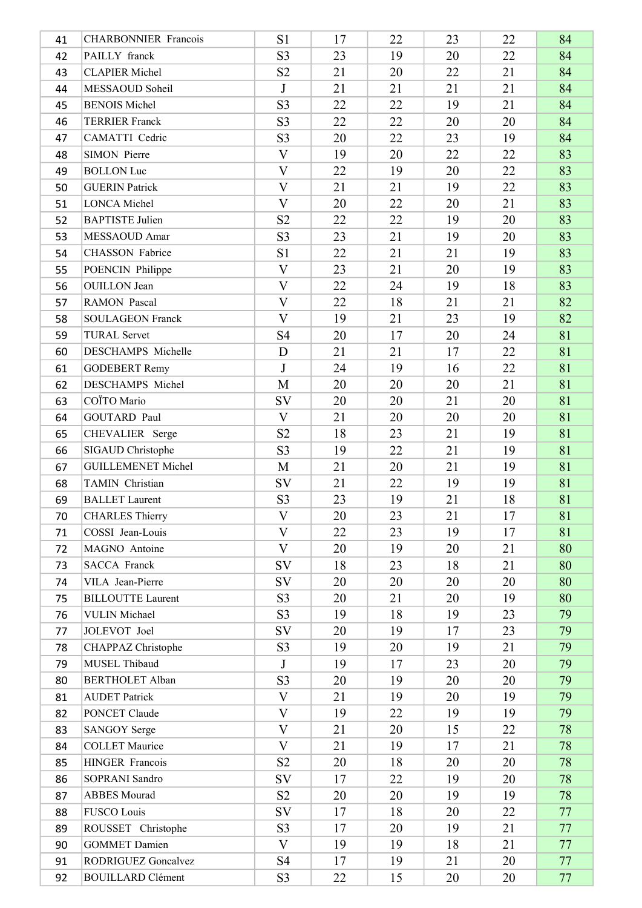| 41 | <b>CHARBONNIER Francois</b> | S1             | 17 | 22 | 23 | 22     | 84 |
|----|-----------------------------|----------------|----|----|----|--------|----|
| 42 | PAILLY franck               | S <sub>3</sub> | 23 | 19 | 20 | 22     | 84 |
| 43 | <b>CLAPIER Michel</b>       | S <sub>2</sub> | 21 | 20 | 22 | 21     | 84 |
| 44 | MESSAOUD Soheil             | J              | 21 | 21 | 21 | 21     | 84 |
| 45 | <b>BENOIS Michel</b>        | S <sub>3</sub> | 22 | 22 | 19 | 21     | 84 |
| 46 | <b>TERRIER Franck</b>       | S <sub>3</sub> | 22 | 22 | 20 | 20     | 84 |
| 47 | CAMATTI Cedric              | S <sub>3</sub> | 20 | 22 | 23 | 19     | 84 |
| 48 | <b>SIMON Pierre</b>         | $\mathbf{V}$   | 19 | 20 | 22 | 22     | 83 |
| 49 | <b>BOLLON Luc</b>           | $\overline{V}$ | 22 | 19 | 20 | 22     | 83 |
| 50 | <b>GUERIN Patrick</b>       | V              | 21 | 21 | 19 | 22     | 83 |
| 51 | <b>LONCA</b> Michel         | $\overline{V}$ | 20 | 22 | 20 | 21     | 83 |
| 52 | <b>BAPTISTE Julien</b>      | S <sub>2</sub> | 22 | 22 | 19 | 20     | 83 |
| 53 | MESSAOUD Amar               | S <sub>3</sub> | 23 | 21 | 19 | 20     | 83 |
| 54 | <b>CHASSON</b> Fabrice      | S1             | 22 | 21 | 21 | 19     | 83 |
| 55 | POENCIN Philippe            | $\mathbf{V}$   | 23 | 21 | 20 | 19     | 83 |
| 56 | <b>OUILLON</b> Jean         | $\rm V$        | 22 | 24 | 19 | 18     | 83 |
| 57 | RAMON Pascal                | V              | 22 | 18 | 21 | 21     | 82 |
| 58 | <b>SOULAGEON Franck</b>     | $\mathbf{V}$   | 19 | 21 | 23 | 19     | 82 |
| 59 | <b>TURAL Servet</b>         | S <sub>4</sub> | 20 | 17 | 20 | 24     | 81 |
| 60 | DESCHAMPS Michelle          | D              | 21 | 21 | 17 | 22     | 81 |
| 61 | <b>GODEBERT Remy</b>        | J              | 24 | 19 | 16 | 22     | 81 |
| 62 | DESCHAMPS Michel            | M              | 20 | 20 | 20 | 21     | 81 |
| 63 | COÏTO Mario                 | SV             | 20 | 20 | 21 | 20     | 81 |
| 64 | <b>GOUTARD Paul</b>         | $\mathbf{V}$   | 21 | 20 | 20 | 20     | 81 |
| 65 | CHEVALIER Serge             | S <sub>2</sub> | 18 | 23 | 21 | 19     | 81 |
| 66 | SIGAUD Christophe           | S <sub>3</sub> | 19 | 22 | 21 | 19     | 81 |
| 67 | <b>GUILLEMENET Michel</b>   | M              | 21 | 20 | 21 | 19     | 81 |
| 68 | TAMIN Christian             | SV             | 21 | 22 | 19 | 19     | 81 |
| 69 | <b>BALLET</b> Laurent       | S <sub>3</sub> | 23 | 19 | 21 | 18     | 81 |
| 70 | CHARLES Thierry             | $\mathbf V$    | 20 | 23 | 21 | $17\,$ | 81 |
| 71 | COSSI Jean-Louis            | $\mathbf{V}$   | 22 | 23 | 19 | 17     | 81 |
| 72 | MAGNO Antoine               | $\mathbf{V}$   | 20 | 19 | 20 | 21     | 80 |
| 73 | <b>SACCA Franck</b>         | SV             | 18 | 23 | 18 | 21     | 80 |
| 74 | VILA Jean-Pierre            | SV             | 20 | 20 | 20 | 20     | 80 |
| 75 | <b>BILLOUTTE Laurent</b>    | S <sub>3</sub> | 20 | 21 | 20 | 19     | 80 |
| 76 | <b>VULIN Michael</b>        | S <sub>3</sub> | 19 | 18 | 19 | 23     | 79 |
| 77 | JOLEVOT Joel                | SV             | 20 | 19 | 17 | 23     | 79 |
| 78 | CHAPPAZ Christophe          | S <sub>3</sub> | 19 | 20 | 19 | 21     | 79 |
| 79 | MUSEL Thibaud               | $\mathbf{J}$   | 19 | 17 | 23 | 20     | 79 |
| 80 | <b>BERTHOLET Alban</b>      | S <sub>3</sub> | 20 | 19 | 20 | 20     | 79 |
| 81 | <b>AUDET Patrick</b>        | $\mathbf V$    | 21 | 19 | 20 | 19     | 79 |
| 82 | PONCET Claude               | $\mathbf{V}$   | 19 | 22 | 19 | 19     | 79 |
| 83 | <b>SANGOY Serge</b>         | V              | 21 | 20 | 15 | 22     | 78 |
| 84 | <b>COLLET Maurice</b>       | $\mathbf{V}$   | 21 | 19 | 17 | 21     | 78 |
| 85 | HINGER Francois             | S <sub>2</sub> | 20 | 18 | 20 | 20     | 78 |
| 86 | SOPRANI Sandro              | SV             | 17 | 22 | 19 | 20     | 78 |
| 87 | <b>ABBES</b> Mourad         | S <sub>2</sub> | 20 | 20 | 19 | 19     | 78 |
| 88 | <b>FUSCO Louis</b>          | SV             | 17 | 18 | 20 | 22     | 77 |
| 89 | ROUSSET Christophe          | S <sub>3</sub> | 17 | 20 | 19 | 21     | 77 |
| 90 | <b>GOMMET Damien</b>        | $\mathbf{V}$   | 19 | 19 | 18 | 21     | 77 |
| 91 | RODRIGUEZ Goncalvez         | S4             | 17 | 19 | 21 | 20     | 77 |
| 92 | <b>BOUILLARD Clément</b>    | S <sub>3</sub> | 22 | 15 | 20 | 20     | 77 |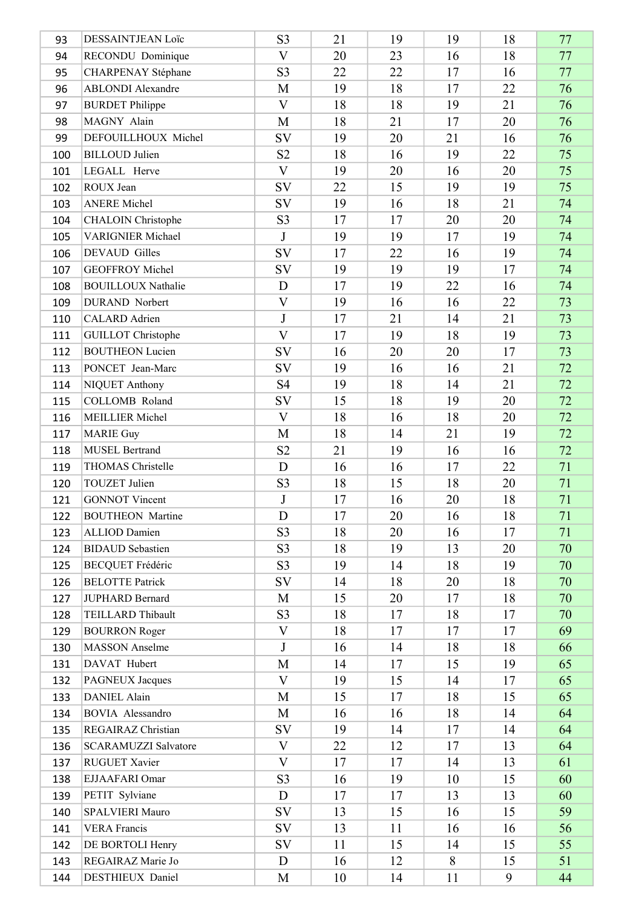| 93  | DESSAINTJEAN Loïc           | S <sub>3</sub>          | 21 | 19 | 19 | 18     | 77 |
|-----|-----------------------------|-------------------------|----|----|----|--------|----|
| 94  | RECONDU Dominique           | $\mathbf{V}$            | 20 | 23 | 16 | 18     | 77 |
| 95  | CHARPENAY Stéphane          | S <sub>3</sub>          | 22 | 22 | 17 | 16     | 77 |
| 96  | <b>ABLONDI</b> Alexandre    | M                       | 19 | 18 | 17 | 22     | 76 |
| 97  | <b>BURDET Philippe</b>      | $\overline{\mathbf{V}}$ | 18 | 18 | 19 | 21     | 76 |
| 98  | MAGNY Alain                 | M                       | 18 | 21 | 17 | 20     | 76 |
| 99  | DEFOUILLHOUX Michel         | <b>SV</b>               | 19 | 20 | 21 | 16     | 76 |
| 100 | <b>BILLOUD</b> Julien       | S <sub>2</sub>          | 18 | 16 | 19 | 22     | 75 |
| 101 | LEGALL Herve                | $\overline{\mathbf{V}}$ | 19 | 20 | 16 | 20     | 75 |
| 102 | ROUX Jean                   | SV                      | 22 | 15 | 19 | 19     | 75 |
| 103 | <b>ANERE</b> Michel         | <b>SV</b>               | 19 | 16 | 18 | 21     | 74 |
| 104 | <b>CHALOIN</b> Christophe   | S <sub>3</sub>          | 17 | 17 | 20 | 20     | 74 |
| 105 | <b>VARIGNIER Michael</b>    | $\mathbf{J}$            | 19 | 19 | 17 | 19     | 74 |
| 106 | <b>DEVAUD</b> Gilles        | <b>SV</b>               | 17 | 22 | 16 | 19     | 74 |
| 107 | <b>GEOFFROY Michel</b>      | SV                      | 19 | 19 | 19 | 17     | 74 |
| 108 | <b>BOUILLOUX Nathalie</b>   | D                       | 17 | 19 | 22 | 16     | 74 |
| 109 | <b>DURAND</b> Norbert       | $\mathbf{V}$            | 19 | 16 | 16 | 22     | 73 |
| 110 | CALARD Adrien               | $\mathbf{J}$            | 17 | 21 | 14 | 21     | 73 |
| 111 | <b>GUILLOT</b> Christophe   | $\mathbf{V}$            | 17 | 19 | 18 | 19     | 73 |
| 112 | <b>BOUTHEON Lucien</b>      | <b>SV</b>               | 16 | 20 | 20 | 17     | 73 |
| 113 | PONCET Jean-Marc            | SV                      | 19 | 16 | 16 | 21     | 72 |
| 114 | NIQUET Anthony              | <b>S4</b>               | 19 | 18 | 14 | 21     | 72 |
| 115 | COLLOMB Roland              | SV                      | 15 | 18 | 19 | 20     | 72 |
| 116 | <b>MEILLIER Michel</b>      | $\mathbf{V}$            | 18 | 16 | 18 | 20     | 72 |
| 117 | <b>MARIE Guy</b>            | M                       | 18 | 14 | 21 | 19     | 72 |
| 118 | <b>MUSEL Bertrand</b>       | S <sub>2</sub>          | 21 | 19 | 16 | 16     | 72 |
| 119 | THOMAS Christelle           | D                       | 16 | 16 | 17 | 22     | 71 |
| 120 | TOUZET Julien               | S <sub>3</sub>          | 18 | 15 | 18 | 20     | 71 |
| 121 | <b>GONNOT Vincent</b>       | $\mathbf{J}$            | 17 | 16 | 20 | 18     | 71 |
| 122 | <b>BOUTHEON</b> Martine     | $\mathbf D$             | 17 | 20 | 16 | $18\,$ | 71 |
| 123 | <b>ALLIOD</b> Damien        | S <sub>3</sub>          | 18 | 20 | 16 | 17     | 71 |
| 124 | <b>BIDAUD</b> Sebastien     | S <sub>3</sub>          | 18 | 19 | 13 | 20     | 70 |
| 125 | <b>BECQUET Frédéric</b>     | S <sub>3</sub>          | 19 | 14 | 18 | 19     | 70 |
| 126 | <b>BELOTTE Patrick</b>      | SV                      | 14 | 18 | 20 | 18     | 70 |
| 127 | JUPHARD Bernard             | M                       | 15 | 20 | 17 | 18     | 70 |
| 128 | TEILLARD Thibault           | S <sub>3</sub>          | 18 | 17 | 18 | 17     | 70 |
| 129 | <b>BOURRON Roger</b>        | $\mathbf{V}$            | 18 | 17 | 17 | 17     | 69 |
| 130 | <b>MASSON</b> Anselme       | J                       | 16 | 14 | 18 | 18     | 66 |
| 131 | DAVAT Hubert                | M                       | 14 | 17 | 15 | 19     | 65 |
| 132 | PAGNEUX Jacques             | V                       | 19 | 15 | 14 | 17     | 65 |
| 133 | <b>DANIEL</b> Alain         | M                       | 15 | 17 | 18 | 15     | 65 |
| 134 | <b>BOVIA</b> Alessandro     | M                       | 16 | 16 | 18 | 14     | 64 |
| 135 | REGAIRAZ Christian          | SV                      | 19 | 14 | 17 | 14     | 64 |
| 136 | <b>SCARAMUZZI Salvatore</b> | $\rm V$                 | 22 | 12 | 17 | 13     | 64 |
| 137 | RUGUET Xavier               | V                       | 17 | 17 | 14 | 13     | 61 |
| 138 | EJJAAFARI Omar              | S <sub>3</sub>          | 16 | 19 | 10 | 15     | 60 |
| 139 | PETIT Sylviane              | D                       | 17 | 17 | 13 | 13     | 60 |
| 140 | SPALVIERI Mauro             | <b>SV</b>               | 13 | 15 | 16 | 15     | 59 |
| 141 | <b>VERA Francis</b>         | SV                      | 13 | 11 | 16 | 16     | 56 |
| 142 | DE BORTOLI Henry            | SV                      | 11 | 15 | 14 | 15     | 55 |
| 143 | REGAIRAZ Marie Jo           | D                       | 16 | 12 | 8  | 15     | 51 |
| 144 | DESTHIEUX Daniel            | M                       | 10 | 14 | 11 | 9      | 44 |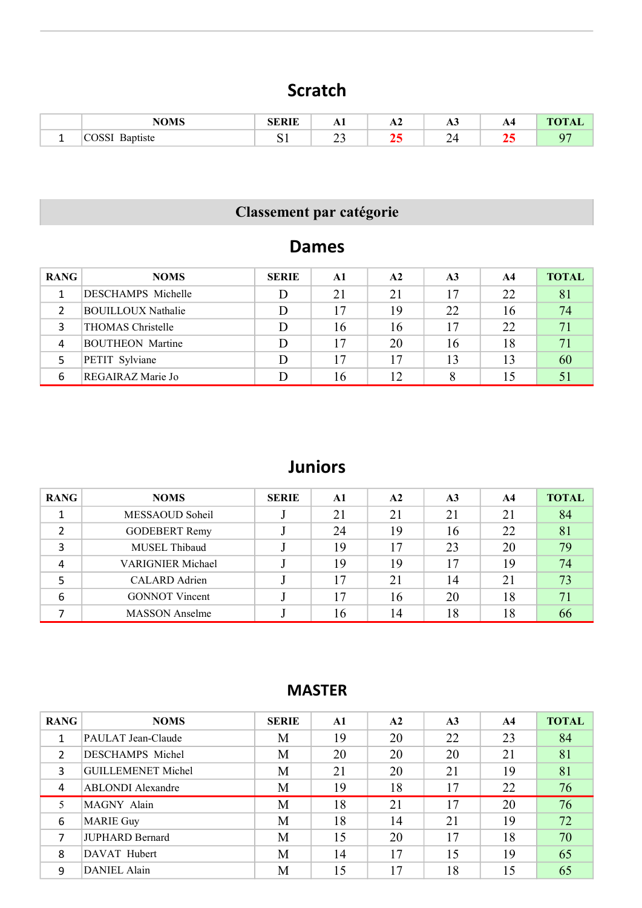### Scratch

|   | MARIO | eedie        | $\mathbf{L}$ | ГVН | AJ | А4  | $-1$ . The same $-1$ |
|---|-------|--------------|--------------|-----|----|-----|----------------------|
| - |       | $\sim$<br>ັ້ | ~^<br>ري     |     | ∽  | . . |                      |

# Classement par catégorie

#### Dames

| <b>RANG</b> | <b>NOMS</b>               | <b>SERIE</b> | $\mathbf{A1}$ | $\mathbf{A2}$ | A <sub>3</sub> | AA | <b>TOTAL</b> |
|-------------|---------------------------|--------------|---------------|---------------|----------------|----|--------------|
|             | DESCHAMPS Michelle        |              | 21            | 21            | 17             | 22 | 81           |
|             | <b>BOUILLOUX Nathalie</b> |              | 17            | 19            | 22             | 16 | 74           |
|             | THOMAS Christelle         |              | 16            | 16            | 17             | 22 | 71           |
| 4           | <b>BOUTHEON</b> Martine   |              | 17            | 20            | 16             | 18 |              |
|             | PETIT Sylviane            |              | 17            | 17            | 13             | 13 | 60           |
| 6           | REGAIRAZ Marie Jo         |              | 16            | 12            |                |    |              |

### Juniors

| <b>RANG</b> | <b>NOMS</b>              | <b>SERIE</b> | A1 | A2 | A <sub>3</sub> | A4 | <b>TOTAL</b> |
|-------------|--------------------------|--------------|----|----|----------------|----|--------------|
|             | MESSAOUD Soheil          |              | 21 | 21 | 21             | 21 | 84           |
|             | <b>GODEBERT Remy</b>     |              | 24 | 19 | 16             | 22 | 81           |
| 3           | MUSEL Thibaud            |              | 19 | 17 | 23             | 20 | 79           |
| 4           | <b>VARIGNIER Michael</b> |              | 19 | 19 | 17             | 19 | 74           |
|             | CALARD Adrien            |              | 17 | 21 | 14             | 21 | 73           |
| 6           | <b>GONNOT Vincent</b>    |              | 17 | 16 | 20             | 18 | 71           |
|             | <b>MASSON</b> Anselme    |              | 16 | 14 | 18             | 18 | 66           |

| <b>RANG</b>   | <b>NOMS</b>               | <b>SERIE</b> | $\mathbf{A}$ 1 | A2 | A <sub>3</sub> | A <sub>4</sub> | <b>TOTAL</b> |
|---------------|---------------------------|--------------|----------------|----|----------------|----------------|--------------|
|               | PAULAT Jean-Claude        | М            | 19             | 20 | 22             | 23             | 84           |
| $\mathcal{L}$ | DESCHAMPS Michel          | M            | 20             | 20 | 20             | 21             | 81           |
| 3             | <b>GUILLEMENET Michel</b> | M            | 21             | 20 | 21             | 19             | 81           |
| 4             | <b>ABLONDI</b> Alexandre  | M            | 19             | 18 | 17             | 22             | 76           |
| 5             | MAGNY Alain               | M            | 18             | 21 | 17             | 20             | 76           |
| 6             | <b>MARIE Guy</b>          | M            | 18             | 14 | 21             | 19             | 72           |
|               | <b>JUPHARD Bernard</b>    | M            | 15             | 20 | 17             | 18             | 70           |
| 8             | DAVAT Hubert              | M            | 14             | 17 | 15             | 19             | 65           |
| 9             | <b>DANIEL Alain</b>       | M            | 15             | 17 | 18             | 15             | 65           |

#### MASTER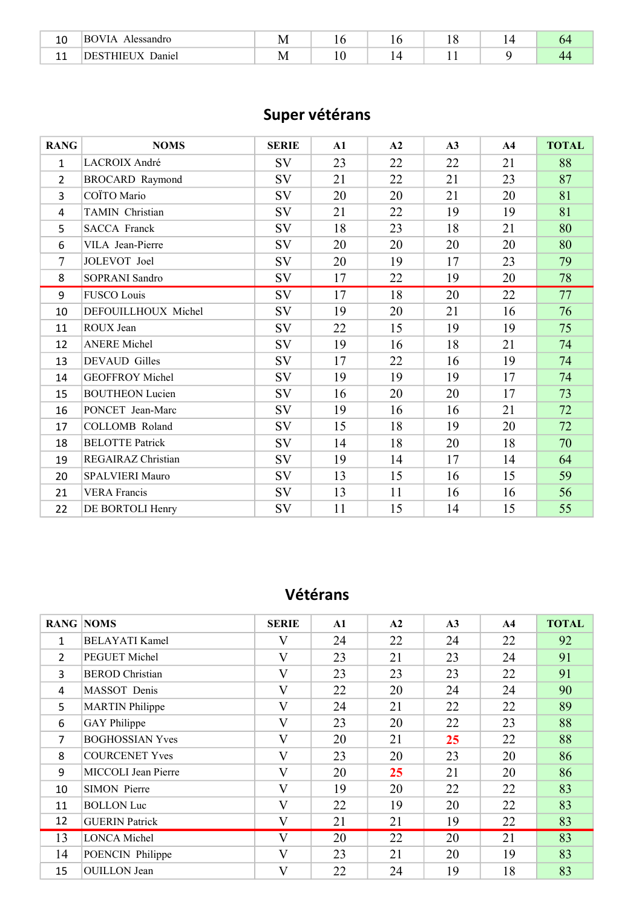| $\sim$<br>⊥∪         | к٥<br>vlessandro<br>$\mathbf{v}$ | N<br>TAT |  |  |  |
|----------------------|----------------------------------|----------|--|--|--|
| $\overline{A}$<br>-- | ')aniei                          | ΙM       |  |  |  |

## Super vétérans

| <b>RANG</b>    | <b>NOMS</b>            | <b>SERIE</b> | A1 | A2 | A3 | A <sub>4</sub> | <b>TOTAL</b> |
|----------------|------------------------|--------------|----|----|----|----------------|--------------|
| 1              | LACROIX André          | SV           | 23 | 22 | 22 | 21             | 88           |
| $\overline{2}$ | <b>BROCARD Raymond</b> | SV           | 21 | 22 | 21 | 23             | 87           |
| 3              | COÏTO Mario            | SV           | 20 | 20 | 21 | 20             | 81           |
| 4              | TAMIN Christian        | SV           | 21 | 22 | 19 | 19             | 81           |
| 5              | <b>SACCA Franck</b>    | SV           | 18 | 23 | 18 | 21             | 80           |
| 6              | VILA Jean-Pierre       | SV           | 20 | 20 | 20 | 20             | 80           |
| 7              | JOLEVOT Joel           | SV           | 20 | 19 | 17 | 23             | 79           |
| 8              | SOPRANI Sandro         | SV           | 17 | 22 | 19 | 20             | 78           |
| 9              | <b>FUSCO Louis</b>     | SV           | 17 | 18 | 20 | 22             | 77           |
| 10             | DEFOUILLHOUX Michel    | SV           | 19 | 20 | 21 | 16             | 76           |
| 11             | ROUX Jean              | SV           | 22 | 15 | 19 | 19             | 75           |
| 12             | <b>ANERE Michel</b>    | SV           | 19 | 16 | 18 | 21             | 74           |
| 13             | DEVAUD Gilles          | SV           | 17 | 22 | 16 | 19             | 74           |
| 14             | <b>GEOFFROY Michel</b> | SV           | 19 | 19 | 19 | 17             | 74           |
| 15             | <b>BOUTHEON Lucien</b> | SV           | 16 | 20 | 20 | 17             | 73           |
| 16             | PONCET Jean-Marc       | SV           | 19 | 16 | 16 | 21             | 72           |
| 17             | <b>COLLOMB</b> Roland  | SV           | 15 | 18 | 19 | 20             | 72           |
| 18             | <b>BELOTTE Patrick</b> | SV           | 14 | 18 | 20 | 18             | 70           |
| 19             | REGAIRAZ Christian     | SV           | 19 | 14 | 17 | 14             | 64           |
| 20             | SPALVIERI Mauro        | SV           | 13 | 15 | 16 | 15             | 59           |
| 21             | <b>VERA Francis</b>    | SV           | 13 | 11 | 16 | 16             | 56           |
| 22             | DE BORTOLI Henry       | SV           | 11 | 15 | 14 | 15             | 55           |

#### Vétérans

|                | <b>RANG NOMS</b>       | <b>SERIE</b>            | $\mathbf{A1}$ | A2 | A3 | $\mathbf{A4}$ | <b>TOTAL</b> |
|----------------|------------------------|-------------------------|---------------|----|----|---------------|--------------|
| 1              | <b>BELAYATI Kamel</b>  | $\rm _V$                | 24            | 22 | 24 | 22            | 92           |
| $\overline{2}$ | PEGUET Michel          | V                       | 23            | 21 | 23 | 24            | 91           |
| 3              | <b>BEROD</b> Christian | $\overline{\mathbf{V}}$ | 23            | 23 | 23 | 22            | 91           |
| 4              | MASSOT Denis           | $\overline{\mathbf{V}}$ | 22            | 20 | 24 | 24            | 90           |
| 5              | <b>MARTIN</b> Philippe | $\mathbf{V}$            | 24            | 21 | 22 | 22            | 89           |
| 6              | <b>GAY</b> Philippe    | $\overline{\mathbf{V}}$ | 23            | 20 | 22 | 23            | 88           |
| $\overline{7}$ | <b>BOGHOSSIAN Yves</b> | $\overline{\mathbf{V}}$ | 20            | 21 | 25 | 22            | 88           |
| 8              | <b>COURCENET Yves</b>  | V                       | 23            | 20 | 23 | 20            | 86           |
| 9              | MICCOLI Jean Pierre    | $\overline{\mathbf{V}}$ | 20            | 25 | 21 | 20            | 86           |
| 10             | <b>SIMON Pierre</b>    | $\overline{\mathbf{V}}$ | 19            | 20 | 22 | 22            | 83           |
| 11             | <b>BOLLON</b> Luc      | V                       | 22            | 19 | 20 | 22            | 83           |
| 12             | <b>GUERIN Patrick</b>  | V                       | 21            | 21 | 19 | 22            | 83           |
| 13             | <b>LONCA Michel</b>    | $\mathbf{V}$            | 20            | 22 | 20 | 21            | 83           |
| 14             | POENCIN Philippe       | V                       | 23            | 21 | 20 | 19            | 83           |
| 15             | <b>OUILLON</b> Jean    | V                       | 22            | 24 | 19 | 18            | 83           |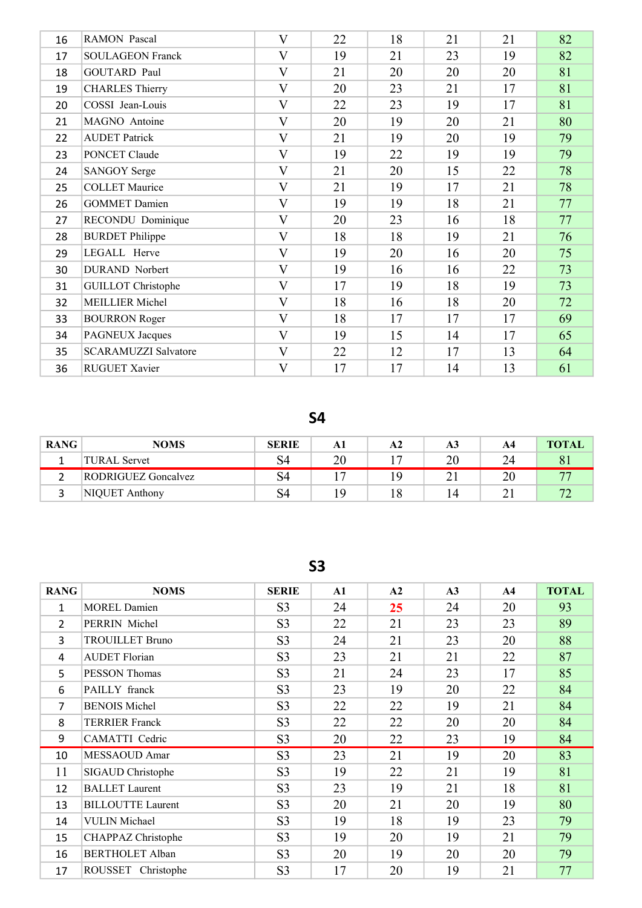| 16 | <b>RAMON</b> Pascal         | V                       | 22 | 18 | 21 | 21 | 82 |
|----|-----------------------------|-------------------------|----|----|----|----|----|
| 17 | <b>SOULAGEON Franck</b>     | $\overline{\mathsf{V}}$ | 19 | 21 | 23 | 19 | 82 |
| 18 | <b>GOUTARD Paul</b>         | $\overline{\mathsf{V}}$ | 21 | 20 | 20 | 20 | 81 |
| 19 | <b>CHARLES Thierry</b>      | $\mathbf{V}$            | 20 | 23 | 21 | 17 | 81 |
| 20 | COSSI Jean-Louis            | $\overline{\mathsf{V}}$ | 22 | 23 | 19 | 17 | 81 |
| 21 | MAGNO Antoine               | V                       | 20 | 19 | 20 | 21 | 80 |
| 22 | <b>AUDET Patrick</b>        | $\overline{\mathsf{V}}$ | 21 | 19 | 20 | 19 | 79 |
| 23 | PONCET Claude               | $\overline{\mathsf{V}}$ | 19 | 22 | 19 | 19 | 79 |
| 24 | <b>SANGOY Serge</b>         | $\overline{\mathsf{V}}$ | 21 | 20 | 15 | 22 | 78 |
| 25 | <b>COLLET Maurice</b>       | $\overline{\mathbf{V}}$ | 21 | 19 | 17 | 21 | 78 |
| 26 | <b>GOMMET Damien</b>        | V                       | 19 | 19 | 18 | 21 | 77 |
| 27 | RECONDU Dominique           | $\overline{\mathsf{V}}$ | 20 | 23 | 16 | 18 | 77 |
| 28 | <b>BURDET Philippe</b>      | $\overline{\mathsf{V}}$ | 18 | 18 | 19 | 21 | 76 |
| 29 | LEGALL Herve                | $\overline{\mathsf{V}}$ | 19 | 20 | 16 | 20 | 75 |
| 30 | DURAND Norbert              | $\mathbf{V}$            | 19 | 16 | 16 | 22 | 73 |
| 31 | <b>GUILLOT</b> Christophe   | $\overline{\mathsf{V}}$ | 17 | 19 | 18 | 19 | 73 |
| 32 | <b>MEILLIER Michel</b>      | $\overline{\mathsf{V}}$ | 18 | 16 | 18 | 20 | 72 |
| 33 | <b>BOURRON Roger</b>        | $\mathbf{V}$            | 18 | 17 | 17 | 17 | 69 |
| 34 | <b>PAGNEUX Jacques</b>      | $\overline{\mathsf{V}}$ | 19 | 15 | 14 | 17 | 65 |
| 35 | <b>SCARAMUZZI Salvatore</b> | $\mathbf{V}$            | 22 | 12 | 17 | 13 | 64 |
| 36 | <b>RUGUET Xavier</b>        | $\overline{\mathsf{V}}$ | 17 | 17 | 14 | 13 | 61 |

S4

| <b>RANG</b> | <b>NOMS</b>         | <b>SERIE</b> |     | A2       | A3  | A4 | <b>TOTAL</b> |
|-------------|---------------------|--------------|-----|----------|-----|----|--------------|
|             | TURAL Servet        |              | ንበ  |          | 20  | 24 |              |
|             | RODRIGUEZ Goncalvez | 54           |     | <b>C</b> | ∠ ⊥ | 20 |              |
|             | NIQUET Anthony      | 54           | , Q | 1 C      |     |    |              |

S3

| <b>RANG</b>    | <b>NOMS</b>              | <b>SERIE</b>   | ${\bf A1}$ | A2 | A3 | ${\bf A4}$ | <b>TOTAL</b> |
|----------------|--------------------------|----------------|------------|----|----|------------|--------------|
| $\mathbf{1}$   | <b>MOREL Damien</b>      | S <sub>3</sub> | 24         | 25 | 24 | 20         | 93           |
| $\overline{2}$ | PERRIN Michel            | S <sub>3</sub> | 22         | 21 | 23 | 23         | 89           |
| 3              | <b>TROUILLET Bruno</b>   | S <sub>3</sub> | 24         | 21 | 23 | 20         | 88           |
| 4              | <b>AUDET Florian</b>     | S <sub>3</sub> | 23         | 21 | 21 | 22         | 87           |
| 5              | PESSON Thomas            | S <sub>3</sub> | 21         | 24 | 23 | 17         | 85           |
| 6              | PAILLY franck            | S <sub>3</sub> | 23         | 19 | 20 | 22         | 84           |
| $\overline{7}$ | <b>BENOIS Michel</b>     | S <sub>3</sub> | 22         | 22 | 19 | 21         | 84           |
| 8              | <b>TERRIER Franck</b>    | S <sub>3</sub> | 22         | 22 | 20 | 20         | 84           |
| 9              | CAMATTI Cedric           | S <sub>3</sub> | 20         | 22 | 23 | 19         | 84           |
| 10             | MESSAOUD Amar            | S <sub>3</sub> | 23         | 21 | 19 | 20         | 83           |
| 11             | SIGAUD Christophe        | S <sub>3</sub> | 19         | 22 | 21 | 19         | 81           |
| 12             | <b>BALLET</b> Laurent    | S <sub>3</sub> | 23         | 19 | 21 | 18         | 81           |
| 13             | <b>BILLOUTTE Laurent</b> | S <sub>3</sub> | 20         | 21 | 20 | 19         | 80           |
| 14             | <b>VULIN</b> Michael     | S <sub>3</sub> | 19         | 18 | 19 | 23         | 79           |
| 15             | CHAPPAZ Christophe       | S <sub>3</sub> | 19         | 20 | 19 | 21         | 79           |
| 16             | <b>BERTHOLET Alban</b>   | S <sub>3</sub> | 20         | 19 | 20 | 20         | 79           |
| 17             | ROUSSET Christophe       | S <sub>3</sub> | 17         | 20 | 19 | 21         | 77           |